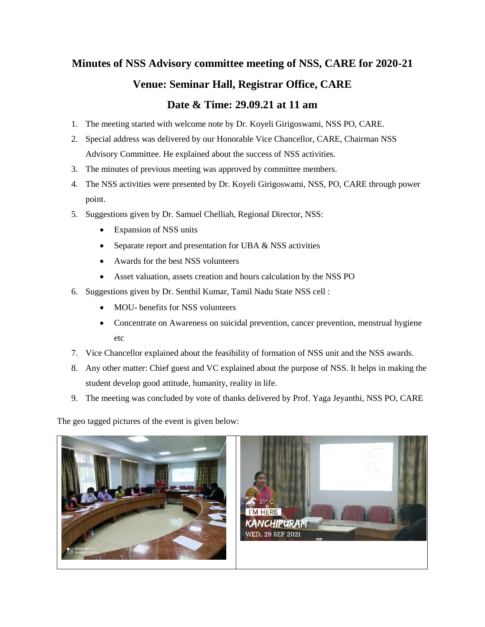## **Minutes of NSS Advisory committee meeting of NSS, CARE for 2020-21 Venue: Seminar Hall, Registrar Office, CARE Date & Time: 29.09.21 at 11 am**

- 1. The meeting started with welcome note by Dr. Koyeli Girigoswami, NSS PO, CARE.
- 2. Special address was delivered by our Honorable Vice Chancellor, CARE, Chairman NSS Advisory Committee. He explained about the success of NSS activities.
- 3. The minutes of previous meeting was approved by committee members.
- 4. The NSS activities were presented by Dr. Koyeli Girigoswami, NSS, PO, CARE through power point.
- 5. Suggestions given by Dr. Samuel Chelliah, Regional Director, NSS:
	- Expansion of NSS units
	- Separate report and presentation for UBA  $&$  NSS activities
	- Awards for the best NSS volunteers
	- Asset valuation, assets creation and hours calculation by the NSS PO
- 6. Suggestions given by Dr. Senthil Kumar, Tamil Nadu State NSS cell :
	- MOU- benefits for NSS volunteers
	- Concentrate on Awareness on suicidal prevention, cancer prevention, menstrual hygiene etc
- 7. Vice Chancellor explained about the feasibility of formation of NSS unit and the NSS awards.
- 8. Any other matter: Chief guest and VC explained about the purpose of NSS. It helps in making the student develop good attitude, humanity, reality in life.
- 9. The meeting was concluded by vote of thanks delivered by Prof. Yaga Jeyanthi, NSS PO, CARE

The geo tagged pictures of the event is given below: